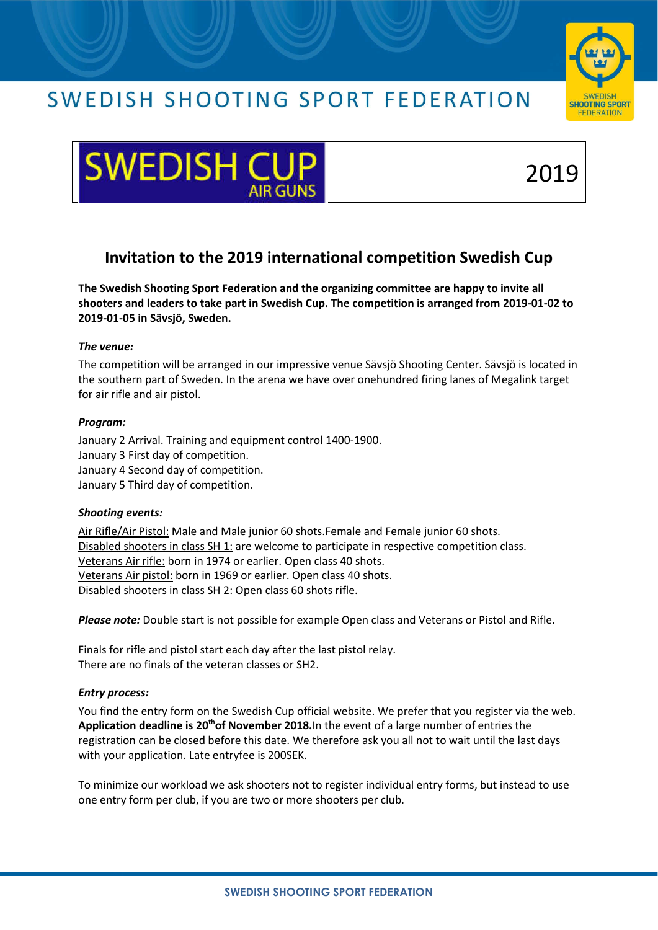## SWEDISH SHOOTING SPORT FEDERATION





# 2019

### **Invitation to the 2019 international competition Swedish Cup**

**The Swedish Shooting Sport Federation and the organizing committee are happy to invite all shooters and leaders to take part in Swedish Cup. The competition is arranged from 2019-01-02 to 2019-01-05 in Sävsjö, Sweden.** 

#### *The venue:*

The competition will be arranged in our impressive venue Sävsjö Shooting Center. Sävsjö is located in the southern part of Sweden. In the arena we have over onehundred firing lanes of Megalink target for air rifle and air pistol.

#### *Program:*

January 2 Arrival. Training and equipment control 1400-1900. January 3 First day of competition. January 4 Second day of competition. January 5 Third day of competition.

#### *Shooting events:*

Air Rifle/Air Pistol: Male and Male junior 60 shots.Female and Female junior 60 shots. Disabled shooters in class SH 1: are welcome to participate in respective competition class. Veterans Air rifle: born in 1974 or earlier. Open class 40 shots. Veterans Air pistol: born in 1969 or earlier. Open class 40 shots. Disabled shooters in class SH 2: Open class 60 shots rifle.

*Please note:* Double start is not possible for example Open class and Veterans or Pistol and Rifle.

Finals for rifle and pistol start each day after the last pistol relay. There are no finals of the veteran classes or SH2.

#### *Entry process:*

You find the entry form on the Swedish Cup official website. We prefer that you register via the web. **Application deadline is 20thof November 2018.**In the event of a large number of entries the registration can be closed before this date. We therefore ask you all not to wait until the last days with your application. Late entryfee is 200SEK.

To minimize our workload we ask shooters not to register individual entry forms, but instead to use one entry form per club, if you are two or more shooters per club.